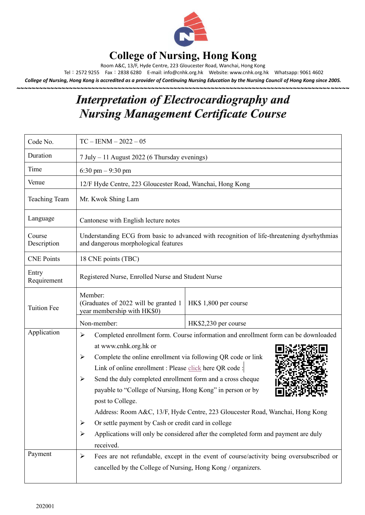

#### **College of Nursing, Hong Kong**

Room A&C, 13/F, Hyde Centre, 223 Gloucester Road, Wanchai, Hong Kong

Tel:2572 9255 Fax:2838 6280 E-mail[: info@cnhk.org.hk](mailto:info@cnhk.org.hk) Website: [www.cnhk.org.hk](http://www.cnhk.org.hk/) Whatsapp: 9061 4602

*College of Nursing, Hong Kong is accredited as a provider of Continuing Nursing Education by the Nursing Council of Hong Kong since 2005.*

**~~~~~~~~~~~~~~~~~~~~~~~~~~~~~~~~~~~~~~~~~~~~~~~~~~~~~~~~~~~~~~~~~~~~~~~~~~~~~~~~~~~~~~~~~**

## **Interpretation of Electrocardiography and Nursing Management Certificate Course**

| Code No.              | $TC - IENM - 2022 - 05$                                                                                                                                                                                                                                                                                                                                                                                                                                                                                                                                                                                                                                     |                       |  |
|-----------------------|-------------------------------------------------------------------------------------------------------------------------------------------------------------------------------------------------------------------------------------------------------------------------------------------------------------------------------------------------------------------------------------------------------------------------------------------------------------------------------------------------------------------------------------------------------------------------------------------------------------------------------------------------------------|-----------------------|--|
| Duration              | 7 July - 11 August 2022 (6 Thursday evenings)                                                                                                                                                                                                                                                                                                                                                                                                                                                                                                                                                                                                               |                       |  |
| Time                  | 6:30 pm $-9:30$ pm                                                                                                                                                                                                                                                                                                                                                                                                                                                                                                                                                                                                                                          |                       |  |
| Venue                 | 12/F Hyde Centre, 223 Gloucester Road, Wanchai, Hong Kong                                                                                                                                                                                                                                                                                                                                                                                                                                                                                                                                                                                                   |                       |  |
| <b>Teaching Team</b>  | Mr. Kwok Shing Lam                                                                                                                                                                                                                                                                                                                                                                                                                                                                                                                                                                                                                                          |                       |  |
| Language              | Cantonese with English lecture notes                                                                                                                                                                                                                                                                                                                                                                                                                                                                                                                                                                                                                        |                       |  |
| Course<br>Description | Understanding ECG from basic to advanced with recognition of life-threatening dysrhythmias<br>and dangerous morphological features                                                                                                                                                                                                                                                                                                                                                                                                                                                                                                                          |                       |  |
| <b>CNE Points</b>     | 18 CNE points (TBC)                                                                                                                                                                                                                                                                                                                                                                                                                                                                                                                                                                                                                                         |                       |  |
| Entry<br>Requirement  | Registered Nurse, Enrolled Nurse and Student Nurse                                                                                                                                                                                                                                                                                                                                                                                                                                                                                                                                                                                                          |                       |  |
| <b>Tuition Fee</b>    | Member:<br>(Graduates of 2022 will be granted 1)<br>year membership with HK\$0)                                                                                                                                                                                                                                                                                                                                                                                                                                                                                                                                                                             | HK\$ 1,800 per course |  |
|                       | Non-member:                                                                                                                                                                                                                                                                                                                                                                                                                                                                                                                                                                                                                                                 | HK\$2,230 per course  |  |
| Application           | Completed enrollment form. Course information and enrollment form can be downloaded<br>➤<br>at www.cnhk.org.hk or<br>Complete the online enrollment via following QR code or link<br>≻<br>Link of online enrollment : Please click here QR code :<br>Send the duly completed enrollment form and a cross cheque<br>➤<br>payable to "College of Nursing, Hong Kong" in person or by<br>post to College.<br>Address: Room A&C, 13/F, Hyde Centre, 223 Gloucester Road, Wanchai, Hong Kong<br>Or settle payment by Cash or credit card in college<br>➤<br>Applications will only be considered after the completed form and payment are duly<br>➤<br>received. |                       |  |
| Payment               | Fees are not refundable, except in the event of course/activity being oversubscribed or<br>➤<br>cancelled by the College of Nursing, Hong Kong / organizers.                                                                                                                                                                                                                                                                                                                                                                                                                                                                                                |                       |  |